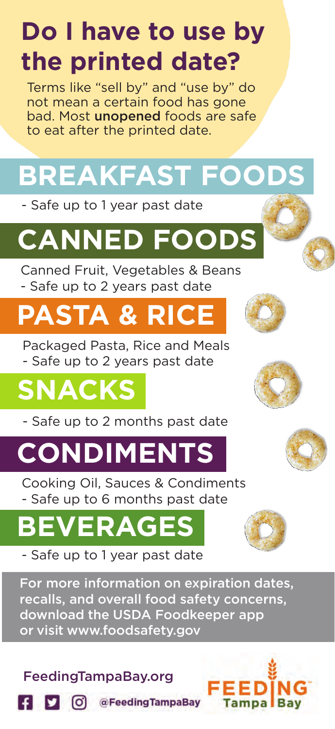## **Do I have to use by the printed date?**

Terms like "sell by" and "use by" do not mean a certain food has gone bad. Most unopened foods are safe to eat after the printed date.

# **BREAKFAST FOODS**

- Safe up to 1 year past date

# **CANNED FOODS**

Canned Fruit, Vegetables & Beans - Safe up to 2 years past date

## **PASTA & RICE**

Packaged Pasta, Rice and Meals - Safe up to 2 years past date

## **SNACKS**

- Safe up to 2 months past date

## **CONDIMENTS**

Cooking Oil, Sauces & Condiments - Safe up to 6 months past date

# **BERAGE**

- Safe up to 1 year past date

For more information on expiration dates, recalls, and overall food safety concerns, download the USDA Foodkeeper app or visit www.foodsafety.gov

### FeedingTampaBay.org











(C) @FeedingTampaBay